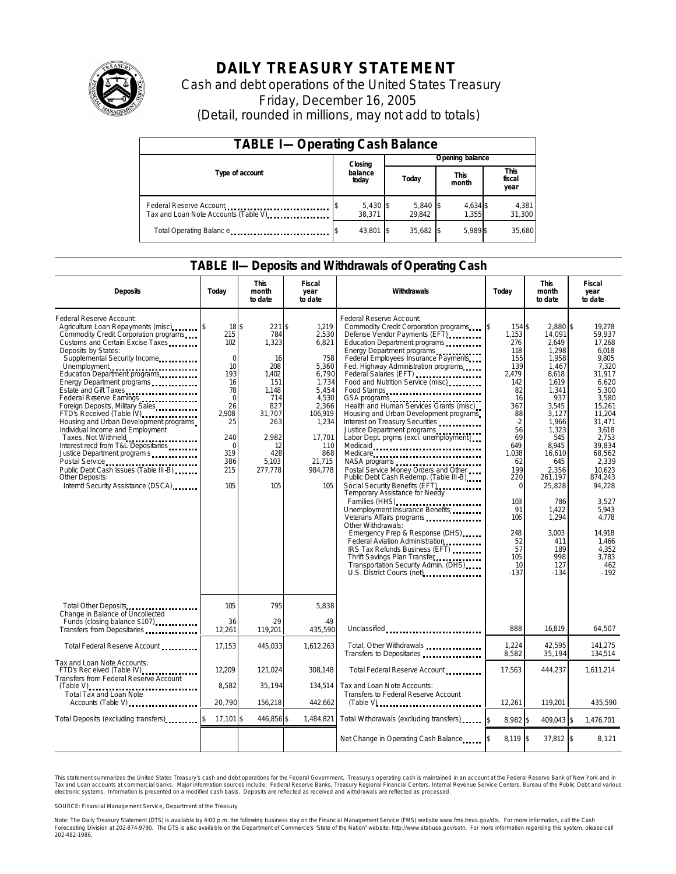

# **DAILY TREASURY STATEMENT**

Cash and debt operations of the United States Treasury Friday, December 16, 2005 (Detail, rounded in millions, may not add to totals)

| <b>TABLE I-Operating Cash Balance</b>                                              |                  |                      |  |                      |  |                      |  |                        |  |
|------------------------------------------------------------------------------------|------------------|----------------------|--|----------------------|--|----------------------|--|------------------------|--|
|                                                                                    |                  | Closing              |  | Opening balance      |  |                      |  |                        |  |
| Type of account                                                                    | balance<br>today |                      |  | Today                |  | <b>This</b><br>month |  | This<br>fiscal<br>year |  |
| Federal Reserve Account<br>Tax and Loan Note Accounts (Table V). The manuscript of |                  | $5,430$ \$<br>38.371 |  | $5,840$ \$<br>29.842 |  | 4,634 \$<br>1.355    |  | 4,381<br>31,300        |  |
| Total Operating Balance                                                            |                  | 43.801 \$            |  | 35.682 \$            |  | 5.989 \$             |  | 35.680                 |  |

#### **TABLE II—Deposits and Withdrawals of Operating Cash**

| <b>Deposits</b>                                                                                                                                                                                                                                                                                                                                                                                                                                                                                                                                                                                                                       | Today                                                                                                                                         | <b>This</b><br>month<br>to date                                                                                                                | Fiscal<br>year<br>to date                                                                                                                                    | Withdrawals                                                                                                                                                                                                                                                                                                                                                                                                                                                                                                                                                                                                                                                                                                                                                                                                                                                                                                                                                                                                                                    | Today                                                                                                                                                                                                                           | <b>This</b><br>month<br>to date                                                                                                                                                                                                                                     | <b>Fiscal</b><br>year<br>to date                                                                                                                                                                                                                                                        |
|---------------------------------------------------------------------------------------------------------------------------------------------------------------------------------------------------------------------------------------------------------------------------------------------------------------------------------------------------------------------------------------------------------------------------------------------------------------------------------------------------------------------------------------------------------------------------------------------------------------------------------------|-----------------------------------------------------------------------------------------------------------------------------------------------|------------------------------------------------------------------------------------------------------------------------------------------------|--------------------------------------------------------------------------------------------------------------------------------------------------------------|------------------------------------------------------------------------------------------------------------------------------------------------------------------------------------------------------------------------------------------------------------------------------------------------------------------------------------------------------------------------------------------------------------------------------------------------------------------------------------------------------------------------------------------------------------------------------------------------------------------------------------------------------------------------------------------------------------------------------------------------------------------------------------------------------------------------------------------------------------------------------------------------------------------------------------------------------------------------------------------------------------------------------------------------|---------------------------------------------------------------------------------------------------------------------------------------------------------------------------------------------------------------------------------|---------------------------------------------------------------------------------------------------------------------------------------------------------------------------------------------------------------------------------------------------------------------|-----------------------------------------------------------------------------------------------------------------------------------------------------------------------------------------------------------------------------------------------------------------------------------------|
| Federal Reserve Account:<br>Agriculture Loan Repayments (misc)<br>Commodity Credit Corporation programs<br>Customs and Certain Excise Taxes<br>Deposits by States:<br>Supplemental Security Income<br>Energy Department programs<br>Estate and Gift Taxes<br>Federal Reserve Earnings<br>Foreign Deposits, Military Sales<br>FTD's Received (Table IV)<br>Housing and Urban Development programs<br>Individual Income and Employment<br>Taxes, Not Withheld<br>Interest recd from T&L Depositaries<br>Justice Department program s<br>Public Debt Cash Issues (Table III B)<br>Other Deposits:<br>Interntl Security Assistance (DSCA) | 18\$<br>215<br>102<br>$\mathbf 0$<br>10<br>193<br>16<br>78<br>$\mathbf 0$<br>26<br>2.908<br>25<br>240<br>$\Omega$<br>319<br>386<br>215<br>105 | $221$ \$<br>784<br>1,323<br>16<br>208<br>1,402<br>151<br>1.148<br>714<br>827<br>31.707<br>263<br>2.982<br>12<br>428<br>5,103<br>277,778<br>105 | 1,219<br>2,530<br>6,821<br>758<br>5,360<br>6,790<br>1,734<br>5,454<br>4,530<br>2.366<br>106,919<br>1,234<br>17.701<br>110<br>868<br>21,715<br>984,778<br>105 | Federal Reserve Account:<br>Commodity Credit Corporation programs<br>Defense Vendor Payments (EFT)<br>Education Department programs<br>Energy Department programs<br>Federal Employees Insurance Payments<br>Fed. Highway Administration programs<br>Federal Salaries (EFT)<br>Food and Nutrition Service (misc)<br>Food Stamps<br>GSA programs<br>Health and Human Services Grants (misc)<br>Housing and Urban Development programs<br>Interest on Treasury Securities<br>Justice Department programs<br>Labor Dept. prgms (excl. unemployment)<br>Medicaid<br>Medicare<br>NASA programs<br>Postal Service Money Orders and Other<br>Public Debt Cash Redemp. (Table III-B)<br>Social Security Benefits (EFT)<br>Temporary Assistance for Needy<br>Families (HHS)<br>Unemployment Insurance Benefits<br>Other Withdrawals:<br>Emergency Prep & Response (DHS)<br>Federal Aviation Administration<br>IRS Tax Refunds Business (EFT)<br>Thrift Savings Plan Transfer<br>Transportation Security Admin. (DHS)<br>U.S. District Courts (net) [10] | \$<br>154 \$<br>1.153<br>276<br>118<br>155<br>139<br>2,479<br>142<br>82<br>16<br>367<br>88<br>$-2$<br>56<br>69<br>649<br>1,038<br>62<br>199<br>220<br>$\mathbf 0$<br>103<br>91<br>106<br>248<br>52<br>57<br>105<br>10<br>$-137$ | 2.880 \$<br>14.091<br>2.649<br>1.298<br>1,958<br>1,467<br>8,618<br>1,619<br>1.341<br>937<br>3.545<br>3,127<br>1.966<br>1,323<br>545<br>8.945<br>16,610<br>645<br>2,356<br>261,197<br>25,828<br>786<br>1,422<br>1,294<br>3.003<br>411<br>189<br>998<br>127<br>$-134$ | 19.278<br>59.937<br>17.268<br>6.018<br>9,805<br>7,320<br>31,917<br>6,620<br>5.300<br>3,580<br>15.261<br>11,204<br>31.471<br>3.618<br>2.753<br>39.834<br>68,562<br>2.339<br>10.623<br>874.243<br>94,228<br>3.527<br>5,943<br>4.778<br>14.918<br>1,466<br>4.352<br>3,783<br>462<br>$-192$ |
| Total Other Deposits<br>Change in Balance of Uncollected                                                                                                                                                                                                                                                                                                                                                                                                                                                                                                                                                                              | 105                                                                                                                                           | 795<br>$-29$                                                                                                                                   | 5,838<br>-49                                                                                                                                                 |                                                                                                                                                                                                                                                                                                                                                                                                                                                                                                                                                                                                                                                                                                                                                                                                                                                                                                                                                                                                                                                |                                                                                                                                                                                                                                 |                                                                                                                                                                                                                                                                     |                                                                                                                                                                                                                                                                                         |
| Funds (closing balance \$107)<br>Transfers from Depositaries                                                                                                                                                                                                                                                                                                                                                                                                                                                                                                                                                                          | 36<br>12,261                                                                                                                                  | 119,201                                                                                                                                        | 435,590                                                                                                                                                      | Unclassified                                                                                                                                                                                                                                                                                                                                                                                                                                                                                                                                                                                                                                                                                                                                                                                                                                                                                                                                                                                                                                   | 888                                                                                                                                                                                                                             | 16.819                                                                                                                                                                                                                                                              | 64,507                                                                                                                                                                                                                                                                                  |
| Total Federal Reserve Account                                                                                                                                                                                                                                                                                                                                                                                                                                                                                                                                                                                                         | 17,153                                                                                                                                        | 445.033                                                                                                                                        | 1,612,263                                                                                                                                                    | Total, Other Withdrawals<br>Transfers to Depositaries                                                                                                                                                                                                                                                                                                                                                                                                                                                                                                                                                                                                                                                                                                                                                                                                                                                                                                                                                                                          | 1,224<br>8,582                                                                                                                                                                                                                  | 42,595<br>35,194                                                                                                                                                                                                                                                    | 141,275<br>134,514                                                                                                                                                                                                                                                                      |
| Tax and Loan Note Accounts:<br>FTD's Rec eived (Table IV)<br>Transfers from Federal Reserve Account                                                                                                                                                                                                                                                                                                                                                                                                                                                                                                                                   | 12,209                                                                                                                                        | 121.024                                                                                                                                        | 308.148                                                                                                                                                      | Total Federal Reserve Account                                                                                                                                                                                                                                                                                                                                                                                                                                                                                                                                                                                                                                                                                                                                                                                                                                                                                                                                                                                                                  | 17,563                                                                                                                                                                                                                          | 444,237                                                                                                                                                                                                                                                             | 1.611.214                                                                                                                                                                                                                                                                               |
| $(Table V)$<br><br>Total Tax and Loan Note<br>Accounts (Table V)                                                                                                                                                                                                                                                                                                                                                                                                                                                                                                                                                                      | 8,582<br>20,790                                                                                                                               | 35,194<br>156,218                                                                                                                              | 134,514<br>442,662                                                                                                                                           | Tax and Loan Note Accounts:<br>Transfers to Federal Reserve Account                                                                                                                                                                                                                                                                                                                                                                                                                                                                                                                                                                                                                                                                                                                                                                                                                                                                                                                                                                            | 12,261                                                                                                                                                                                                                          | 119,201                                                                                                                                                                                                                                                             | 435,590                                                                                                                                                                                                                                                                                 |
| Total Deposits (excluding transfers)                                                                                                                                                                                                                                                                                                                                                                                                                                                                                                                                                                                                  | 17,101 \$                                                                                                                                     | 446,856 \$                                                                                                                                     | 1,484,821                                                                                                                                                    | Total Withdrawals (excluding transfers)                                                                                                                                                                                                                                                                                                                                                                                                                                                                                                                                                                                                                                                                                                                                                                                                                                                                                                                                                                                                        | 8,982 \$<br><sup>\$</sup>                                                                                                                                                                                                       | 409,043 \$                                                                                                                                                                                                                                                          | 1,476,701                                                                                                                                                                                                                                                                               |
|                                                                                                                                                                                                                                                                                                                                                                                                                                                                                                                                                                                                                                       |                                                                                                                                               |                                                                                                                                                |                                                                                                                                                              | Net Change in Operating Cash Balance                                                                                                                                                                                                                                                                                                                                                                                                                                                                                                                                                                                                                                                                                                                                                                                                                                                                                                                                                                                                           | $8.119$ \ \$                                                                                                                                                                                                                    | $37,812$ \$                                                                                                                                                                                                                                                         | 8,121                                                                                                                                                                                                                                                                                   |

This statement summarizes the United States Treasury's cash and debt operations for the Federal Government. Treasury's operating cash is maintained in an account at the Federal Reserve Bank of New York and in Tax and Loan accounts at commercial banks. Major information sources include: Federal Reserve Banks, Treasury Regional Financial Centers, Internal Revenue Service Centers, Bureau of the Public Debt and various<br>electronic s

SOURCE: Financial Management Service, Department of the Treasury

Note: The Daily Treasury Statement (DTS) is available by 4:00 p.m. the following business day on the Financial Management Service (FMS) website www.fms.treas.gov/dts.<br>Forecasting Division at 202-874-9790. The DTS is also a [S] is available by 4:00 p.m. the following business day on the Financial Management Service (FMS) website www.fms.treas.gov/dts. For more information, call the Cash<br>The DTS is also available on the Department of Commerce'